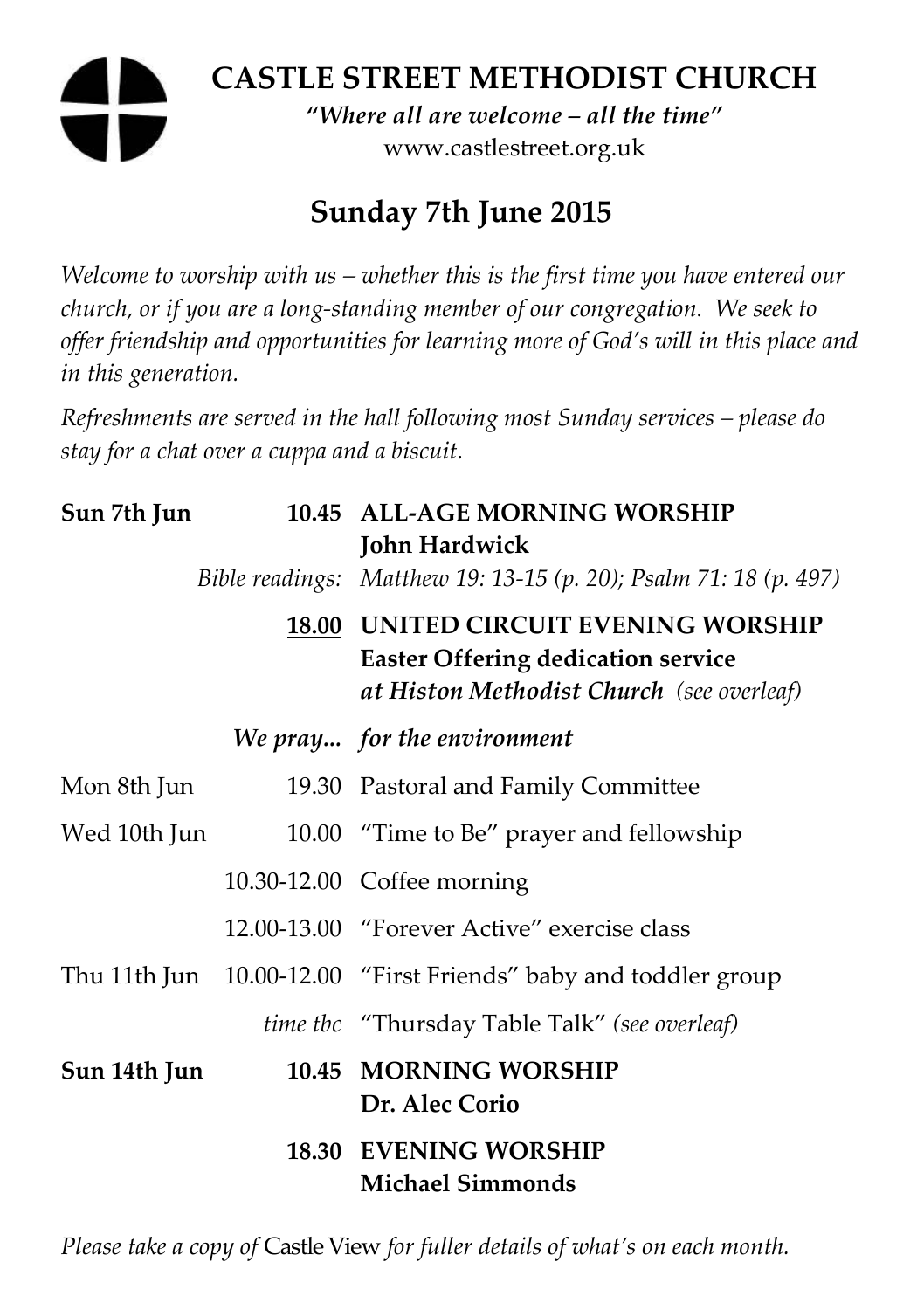# **CASTLE STREET METHODIST CHURCH**  *"Where all are welcome – all the time"*  www.castlestreet.org.uk

# **Sunday 7th June 2015**

*Welcome to worship with us – whether this is the first time you have entered our church, or if you are a long-standing member of our congregation. We seek to offer friendship and opportunities for learning more of God's will in this place and in this generation.* 

*Refreshments are served in the hall following most Sunday services – please do stay for a chat over a cuppa and a biscuit.* 

| Sun 7th Jun  |  | 10.45 ALL-AGE MORNING WORSHIP<br>John Hardwick                                                                                 |
|--------------|--|--------------------------------------------------------------------------------------------------------------------------------|
|              |  | Bible readings: Matthew 19: 13-15 (p. 20); Psalm 71: 18 (p. 497)                                                               |
|              |  | 18.00 UNITED CIRCUIT EVENING WORSHIP<br><b>Easter Offering dedication service</b><br>at Histon Methodist Church (see overleaf) |
|              |  | We pray for the environment                                                                                                    |
| Mon 8th Jun  |  | 19.30 Pastoral and Family Committee                                                                                            |
| Wed 10th Jun |  | 10.00 "Time to Be" prayer and fellowship                                                                                       |
|              |  | 10.30-12.00 Coffee morning                                                                                                     |
|              |  | 12.00-13.00 "Forever Active" exercise class                                                                                    |
|              |  | Thu 11th Jun 10.00-12.00 "First Friends" baby and toddler group                                                                |
|              |  | <i>time tbc</i> "Thursday Table Talk" (see overleaf)                                                                           |
| Sun 14th Jun |  | 10.45 MORNING WORSHIP<br>Dr. Alec Corio                                                                                        |
|              |  | <b>18.30 EVENING WORSHIP</b><br><b>Michael Simmonds</b>                                                                        |

*Please take a copy of* Castle View *for fuller details of what's on each month.*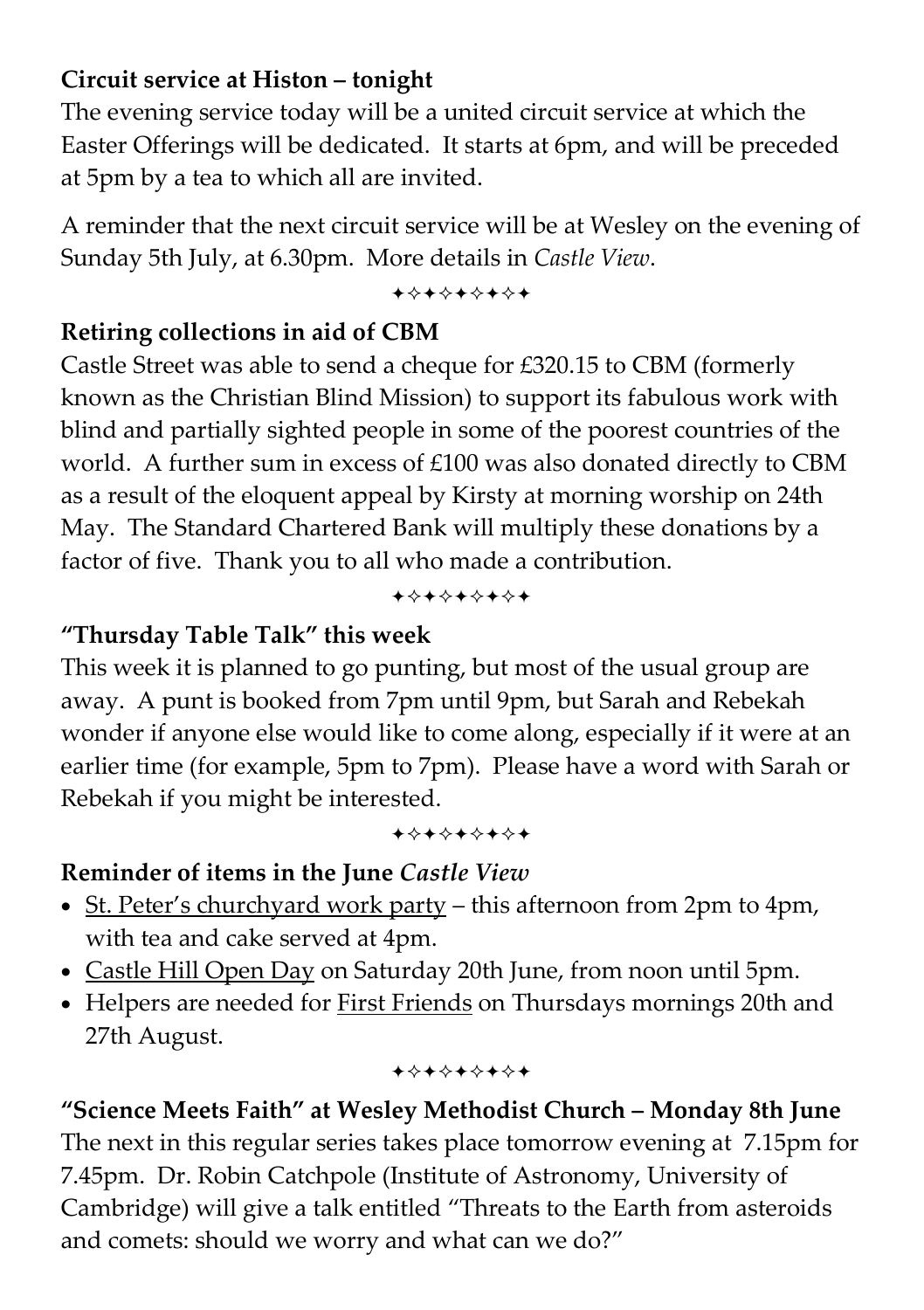#### **Circuit service at Histon – tonight**

The evening service today will be a united circuit service at which the Easter Offerings will be dedicated. It starts at 6pm, and will be preceded at 5pm by a tea to which all are invited.

A reminder that the next circuit service will be at Wesley on the evening of Sunday 5th July, at 6.30pm. More details in *Castle View*.

+\*+\*\*\*\*+

### **Retiring collections in aid of CBM**

Castle Street was able to send a cheque for £320.15 to CBM (formerly known as the Christian Blind Mission) to support its fabulous work with blind and partially sighted people in some of the poorest countries of the world. A further sum in excess of £100 was also donated directly to CBM as a result of the eloquent appeal by Kirsty at morning worship on 24th May. The Standard Chartered Bank will multiply these donations by a factor of five. Thank you to all who made a contribution.

+\*\*\*\*\*\*\*

# **"Thursday Table Talk" this week**

This week it is planned to go punting, but most of the usual group are away. A punt is booked from 7pm until 9pm, but Sarah and Rebekah wonder if anyone else would like to come along, especially if it were at an earlier time (for example, 5pm to 7pm). Please have a word with Sarah or Rebekah if you might be interested.

+\*\*\*\*\*\*\*

# **Reminder of items in the June** *Castle View*

- St. Peter's churchyard work party this afternoon from 2pm to 4pm, with tea and cake served at 4pm.
- Castle Hill Open Day on Saturday 20th June, from noon until 5pm.
- Helpers are needed for First Friends on Thursdays mornings 20th and 27th August.

#### +\*+\*\*\*\*\*

**"Science Meets Faith" at Wesley Methodist Church – Monday 8th June**  The next in this regular series takes place tomorrow evening at 7.15pm for 7.45pm. Dr. Robin Catchpole (Institute of Astronomy, University of Cambridge) will give a talk entitled "Threats to the Earth from asteroids and comets: should we worry and what can we do?"